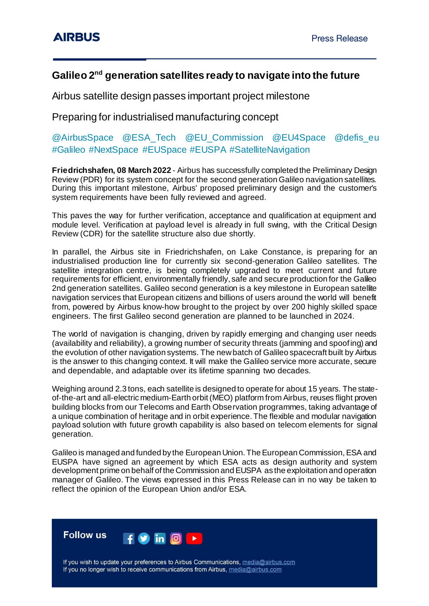## **Galileo 2nd generation satellites ready to navigate into the future**

Airbus satellite design passes important project milestone

Preparing for industrialised manufacturing concept

@AirbusSpace @ESA\_Tech @EU\_Commission @EU4Space @defis\_eu #Galileo #NextSpace #EUSpace #EUSPA #SatelliteNavigation

**Friedrichshafen, 08 March 2022** - Airbus has successfully completed the Preliminary Design Review (PDR) for its system concept for the second generation Galileo navigation satellites. During this important milestone, Airbus' proposed preliminary design and the customer's system requirements have been fully reviewed and agreed.

This paves the way for further verification, acceptance and qualification at equipment and module level. Verification at payload level is already in full swing, with the Critical Design Review (CDR) for the satellite structure also due shortly.

In parallel, the Airbus site in Friedrichshafen, on Lake Constance, is preparing for an industrialised production line for currently six second-generation Galileo satellites. The satellite integration centre, is being completely upgraded to meet current and future requirements for efficient, environmentally friendly, safe and secure production for the Galileo 2nd generation satellites. Galileo second generation is a key milestone in European satellite navigation services that European citizens and billions of users around the world will benefit from, powered by Airbus know-how brought to the project by over 200 highly skilled space engineers. The first Galileo second generation are planned to be launched in 2024.

The world of navigation is changing, driven by rapidly emerging and changing user needs (availability and reliability), a growing number of security threats (jamming and spoofing) and the evolution of other navigation systems. The new batch of Galileo spacecraft built by Airbus is the answer to this changing context. It will make the Galileo service more accurate, secure and dependable, and adaptable over its lifetime spanning two decades.

Weighing around 2.3 tons, each satellite is designed to operate for about 15 years. The stateof-the-art and all-electric medium-Earth orbit (MEO) platform from Airbus, reuses flight proven building blocks from our Telecoms and Earth Observation programmes, taking advantage of a unique combination of heritage and in orbit experience. The flexible and modular navigation payload solution with future growth capability is also based on telecom elements for signal generation.

Galileo is managed and funded by the European Union. The European Commission, ESA and EUSPA have signed an agreement by which ESA acts as design authority and system development prime on behalf of the Commission and EUSPA as the exploitation and operation manager of Galileo. The views expressed in this Press Release can in no way be taken to reflect the opinion of the European Union and/or ESA.



If you wish to update your preferences to Airbus Communications, media@airbus.com If you no longer wish to receive communications from Airbus, media@airbus.com